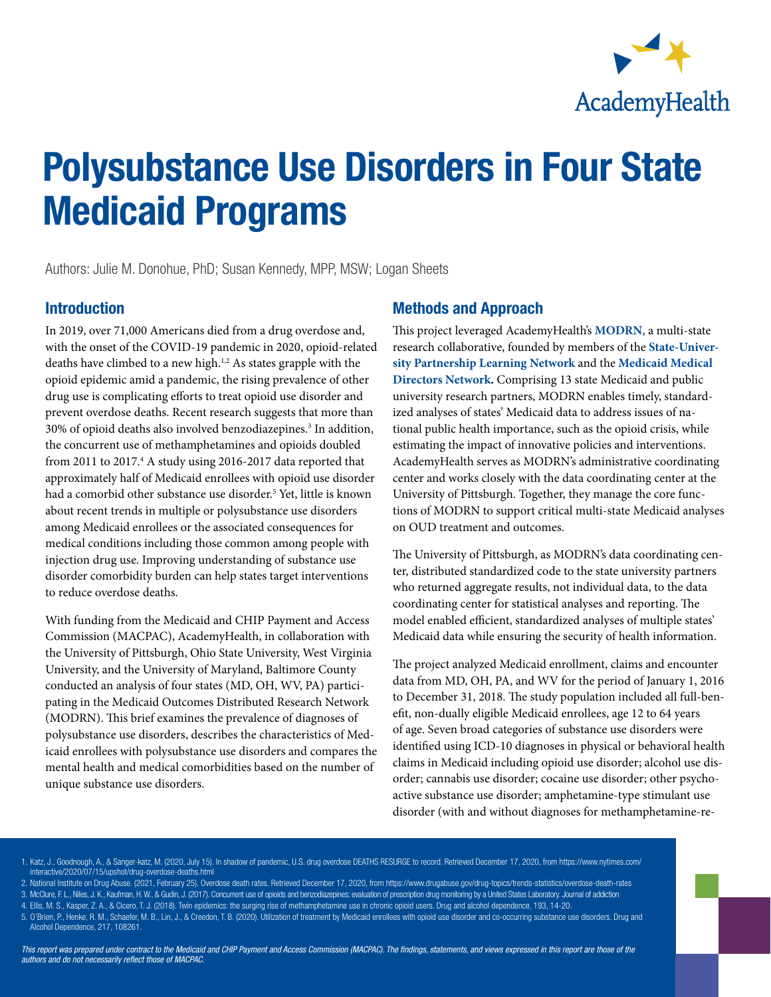

# Polysubstance Use Disorders in Four State Medicaid Programs

Authors: Julie M. Donohue, PhD; Susan Kennedy, MPP, MSW; Logan Sheets

## Introduction

In 2019, over 71,000 Americans died from a drug overdose and, with the onset of the COVID-19 pandemic in 2020, opioid-related deaths have climbed to a new high.<sup>1,2</sup> As states grapple with the opioid epidemic amid a pandemic, the rising prevalence of other drug use is complicating efforts to treat opioid use disorder and prevent overdose deaths. Recent research suggests that more than 30% of opioid deaths also involved benzodiazepines.3 In addition, the concurrent use of methamphetamines and opioids doubled from 2011 to 2017.<sup>4</sup> A study using 2016-2017 data reported that approximately half of Medicaid enrollees with opioid use disorder had a comorbid other substance use disorder.5 Yet, little is known about recent trends in multiple or polysubstance use disorders among Medicaid enrollees or the associated consequences for medical conditions including those common among people with injection drug use. Improving understanding of substance use disorder comorbidity burden can help states target interventions to reduce overdose deaths.

With funding from the Medicaid and CHIP Payment and Access Commission (MACPAC), AcademyHealth, in collaboration with the University of Pittsburgh, Ohio State University, West Virginia University, and the University of Maryland, Baltimore County conducted an analysis of four states (MD, OH, WV, PA) participating in the Medicaid Outcomes Distributed Research Network (MODRN). This brief examines the prevalence of diagnoses of polysubstance use disorders, describes the characteristics of Medicaid enrollees with polysubstance use disorders and compares the mental health and medical comorbidities based on the number of unique substance use disorders.

### Methods and Approach

This project leveraged AcademyHealth's **[MODRN](https://www.academyhealth.org/about/programs/medicaid-outcomes-distributed-research-network-modrn)**, a multi-state research collaborative, founded by members of the **[State-Univer](https://academyhealth.org/about/programs/state-university-partnership-learning-network)[sity Partnership Learning Network](https://academyhealth.org/about/programs/state-university-partnership-learning-network)** and the **[Medicaid Medical](https://academyhealth.org/about/programs/medicaid-medical-directors-network-mmdn)  [Directors Network.](https://academyhealth.org/about/programs/medicaid-medical-directors-network-mmdn)** Comprising 13 state Medicaid and public university research partners, MODRN enables timely, standardized analyses of states' Medicaid data to address issues of national public health importance, such as the opioid crisis, while estimating the impact of innovative policies and interventions. AcademyHealth serves as MODRN's administrative coordinating center and works closely with the data coordinating center at the University of Pittsburgh. Together, they manage the core functions of MODRN to support critical multi-state Medicaid analyses on OUD treatment and outcomes.

The University of Pittsburgh, as MODRN's data coordinating center, distributed standardized code to the state university partners who returned aggregate results, not individual data, to the data coordinating center for statistical analyses and reporting. The model enabled efficient, standardized analyses of multiple states' Medicaid data while ensuring the security of health information.

The project analyzed Medicaid enrollment, claims and encounter data from MD, OH, PA, and WV for the period of January 1, 2016 to December 31, 2018. The study population included all full-benefit, non-dually eligible Medicaid enrollees, age 12 to 64 years of age. Seven broad categories of substance use disorders were identified using ICD-10 diagnoses in physical or behavioral health claims in Medicaid including opioid use disorder; alcohol use disorder; cannabis use disorder; cocaine use disorder; other psychoactive substance use disorder; amphetamine-type stimulant use disorder (with and without diagnoses for methamphetamine-re-

- 1. Katz, J., Goodnough, A., & Sanger-katz, M. (2020, July 15). In shadow of pandemic, U.S. drug overdose DEATHS RESURGE to record. Retrieved December 17, 2020, from https://www.nytimes.com/ interactive/2020/07/15/upshot/drug-overdose-deaths.html
- 2. National Institute on Drug Abuse. (2021, February 25). Overdose death rates. Retrieved December 17, 2020, from https://www.drugabuse.gov/drug-topics/trends-statistics/overdose-death-rates
- 3. McClure, F. L., Niles, J. K., Kaufman, H. W., & Gudin, J. (2017). Concurrent use of opioids and benzodiazepines: evaluation of prescription drug monitoring by a United States Laboratory. Journal of addiction
- 4. Ellis, M. S., Kasper, Z. A., & Cicero, T. J. (2018). Twin epidemics: the surging rise of methamphetamine use in chronic opioid users. Drug and alcohol dependence, 193, 14-20.
- 5. O'Brien, P., Henke, R. M., Schaefer, M. B., Lin, J., & Creedon, T. B. (2020). Utilization of treatment by Medicaid enrollees with opioid use disorder and co-occurring substance use disorders. Drug and Alcohol Dependence, 217, 108261.

*This report was prepared under contract to the Medicaid and CHIP Payment and Access Commission (MACPAC). The findings, statements, and views expressed in this report are those of the authors and do not necessarily reflect those of MACPAC.*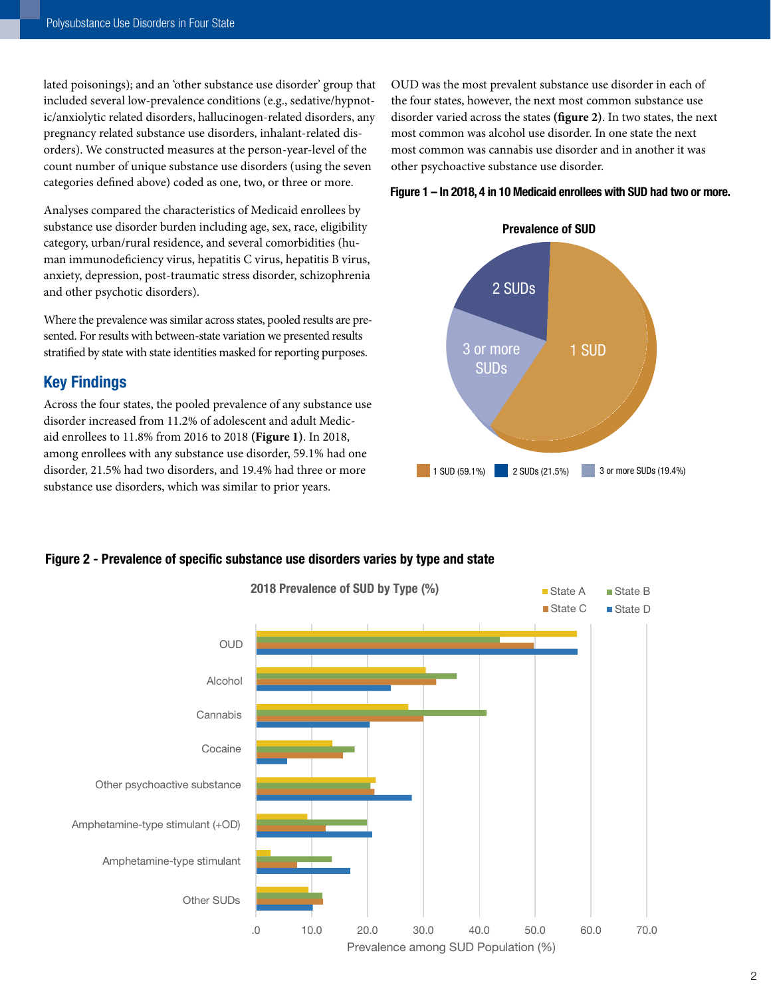lated poisonings); and an 'other substance use disorder' group that included several low-prevalence conditions (e.g., sedative/hypnotic/anxiolytic related disorders, hallucinogen-related disorders, any pregnancy related substance use disorders, inhalant-related disorders). We constructed measures at the person-year-level of the count number of unique substance use disorders (using the seven categories defined above) coded as one, two, or three or more.

Analyses compared the characteristics of Medicaid enrollees by substance use disorder burden including age, sex, race, eligibility category, urban/rural residence, and several comorbidities (human immunodeficiency virus, hepatitis C virus, hepatitis B virus, anxiety, depression, post-traumatic stress disorder, schizophrenia and other psychotic disorders).

Where the prevalence was similar across states, pooled results are presented. For results with between-state variation we presented results stratified by state with state identities masked for reporting purposes.

## Key Findings

Across the four states, the pooled prevalence of any substance use disorder increased from 11.2% of adolescent and adult Medicaid enrollees to 11.8% from 2016 to 2018 **(Figure 1)**. In 2018, among enrollees with any substance use disorder, 59.1% had one disorder, 21.5% had two disorders, and 19.4% had three or more substance use disorders, which was similar to prior years.

OUD was the most prevalent substance use disorder in each of the four states, however, the next most common substance use disorder varied across the states **(figure 2)**. In two states, the next most common was alcohol use disorder. In one state the next most common was cannabis use disorder and in another it was other psychoactive substance use disorder.





#### Figure 2 - Prevalence of specific substance use disorders varies by type and state

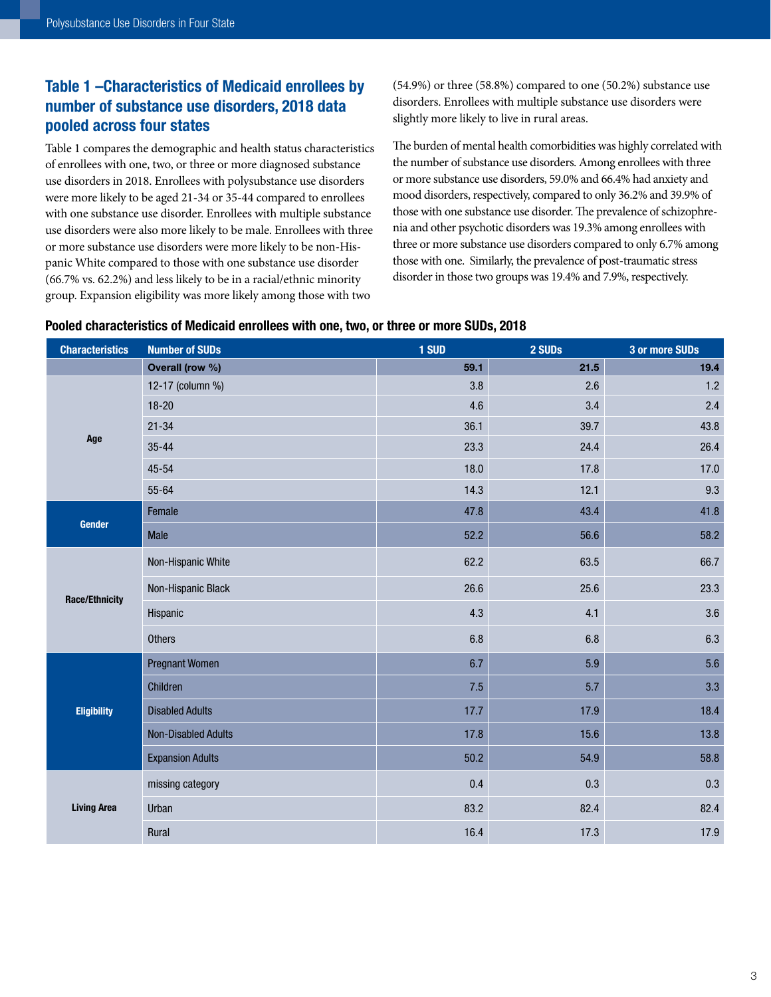# Table 1 –Characteristics of Medicaid enrollees by number of substance use disorders, 2018 data pooled across four states

Table 1 compares the demographic and health status characteristics of enrollees with one, two, or three or more diagnosed substance use disorders in 2018. Enrollees with polysubstance use disorders were more likely to be aged 21-34 or 35-44 compared to enrollees with one substance use disorder. Enrollees with multiple substance use disorders were also more likely to be male. Enrollees with three or more substance use disorders were more likely to be non-Hispanic White compared to those with one substance use disorder (66.7% vs. 62.2%) and less likely to be in a racial/ethnic minority group. Expansion eligibility was more likely among those with two

(54.9%) or three (58.8%) compared to one (50.2%) substance use disorders. Enrollees with multiple substance use disorders were slightly more likely to live in rural areas.

The burden of mental health comorbidities was highly correlated with the number of substance use disorders. Among enrollees with three or more substance use disorders, 59.0% and 66.4% had anxiety and mood disorders, respectively, compared to only 36.2% and 39.9% of those with one substance use disorder. The prevalence of schizophrenia and other psychotic disorders was 19.3% among enrollees with three or more substance use disorders compared to only 6.7% among those with one. Similarly, the prevalence of post-traumatic stress disorder in those two groups was 19.4% and 7.9%, respectively.

#### Pooled characteristics of Medicaid enrollees with one, two, or three or more SUDs, 2018

| <b>Characteristics</b> | <b>Number of SUDs</b>      | 1 SUD | 2 SUDs | 3 or more SUDs |
|------------------------|----------------------------|-------|--------|----------------|
|                        | Overall (row %)            | 59.1  | 21.5   | 19.4           |
| Age                    | 12-17 (column %)           | 3.8   | 2.6    | 1.2            |
|                        | $18 - 20$                  | 4.6   | 3.4    | 2.4            |
|                        | $21 - 34$                  | 36.1  | 39.7   | 43.8           |
|                        | $35 - 44$                  | 23.3  | 24.4   | 26.4           |
|                        | 45-54                      | 18.0  | 17.8   | 17.0           |
|                        | 55-64                      | 14.3  | 12.1   | 9.3            |
| Gender                 | Female                     | 47.8  | 43.4   | 41.8           |
|                        | Male                       | 52.2  | 56.6   | 58.2           |
| <b>Race/Ethnicity</b>  | Non-Hispanic White         | 62.2  | 63.5   | 66.7           |
|                        | Non-Hispanic Black         | 26.6  | 25.6   | 23.3           |
|                        | Hispanic                   | 4.3   | 4.1    | 3.6            |
|                        | <b>Others</b>              | 6.8   | 6.8    | 6.3            |
| <b>Eligibility</b>     | <b>Pregnant Women</b>      | 6.7   | 5.9    | 5.6            |
|                        | Children                   | 7.5   | 5.7    | 3.3            |
|                        | <b>Disabled Adults</b>     | 17.7  | 17.9   | 18.4           |
|                        | <b>Non-Disabled Adults</b> | 17.8  | 15.6   | 13.8           |
|                        | <b>Expansion Adults</b>    | 50.2  | 54.9   | 58.8           |
| <b>Living Area</b>     | missing category           | 0.4   | 0.3    | 0.3            |
|                        | Urban                      | 83.2  | 82.4   | 82.4           |
|                        | Rural                      | 16.4  | 17.3   | 17.9           |